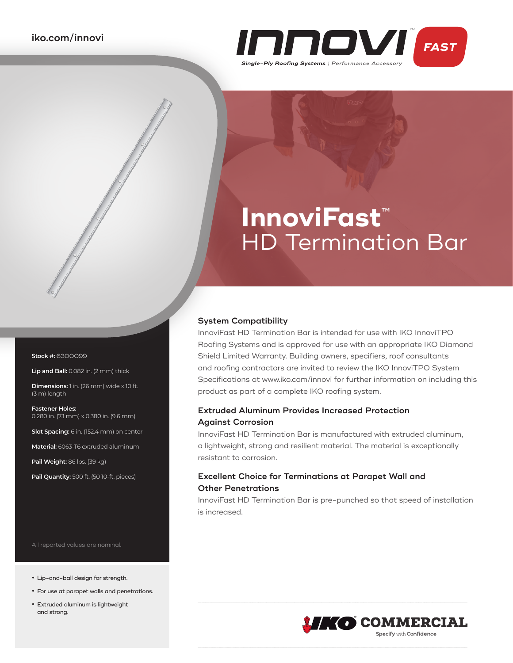

# **InnoviFast**™ HD Termination Bar

#### **System Compatibility**

InnoviFast HD Termination Bar is intended for use with IKO InnoviTPO Roofing Systems and is approved for use with an appropriate IKO Diamond Shield Limited Warranty. Building owners, specifiers, roof consultants and roofing contractors are invited to review the IKO InnoviTPO System Specifications at www.iko.com/innovi for further information on including this product as part of a complete IKO roofing system.

## **Extruded Aluminum Provides Increased Protection Against Corrosion**

InnoviFast HD Termination Bar is manufactured with extruded aluminum, a lightweight, strong and resilient material. The material is exceptionally resistant to corrosion.

### **Excellent Choice for Terminations at Parapet Wall and Other Penetrations**

InnoviFast HD Termination Bar is pre-punched so that speed of installation is increased.



**Stock #:** 6300099

**Lip and Ball:** 0.082 in. (2 mm) thick

**Dimensions:** 1 in. (26 mm) wide x 10 ft. (3 m) length

**Fastener Holes:**  0.280 in. (7.1 mm) x 0.380 in. (9.6 mm)

**Slot Spacing:** 6 in. (152.4 mm) on center

**Material:** 6063-T6 extruded aluminum

**Pail Weight:** 86 lbs. (39 kg)

Pail Quantity: 500 ft. (50 10-ft. pieces)

All reported values are nominal.

- **•** Lip-and-ball design for strength.
- **•** For use at parapet walls and penetrations.
- **•** Extruded aluminum is lightweight and strong.